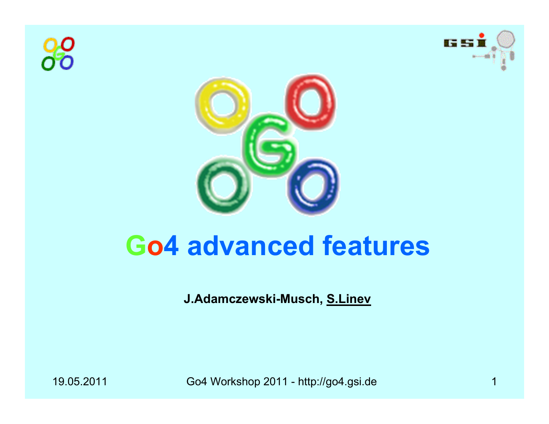





## **Go4 advanced features**

**J.Adamczewski-Musch, S.Linev**

19.05.2011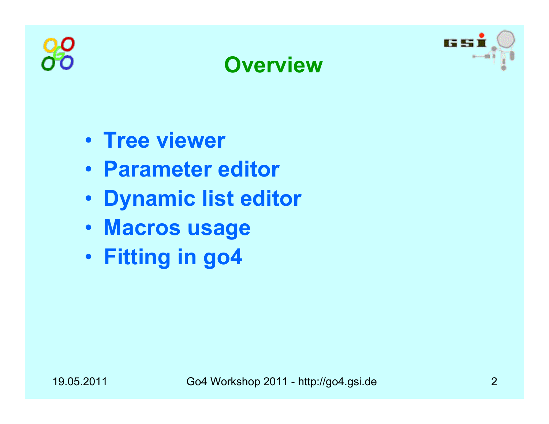





- **Tree viewer**
- **Parameter editor**
- **Dynamic list editor**
- **Macros usage**
- **Fitting in go4**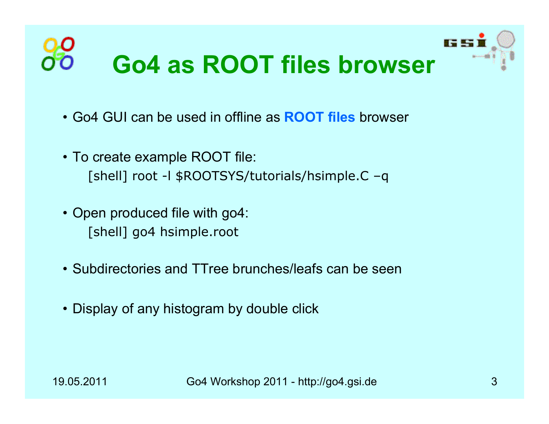

- Go4 GUI can be used in offline as **ROOT files** browser
- To create example ROOT file: [shell] root -l \$ROOTSYS/tutorials/hsimple.C –q
- Open produced file with go4: [shell] go4 hsimple.root
- Subdirectories and TTree brunches/leafs can be seen
- Display of any histogram by double click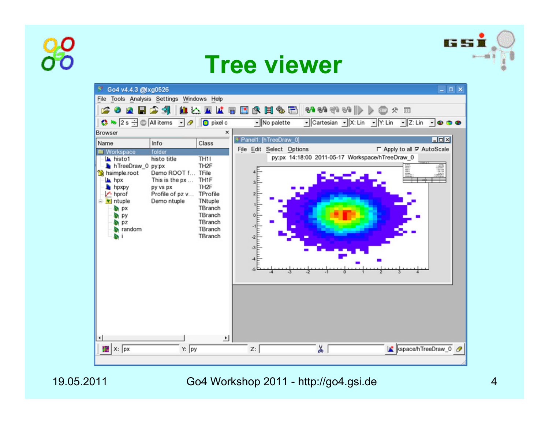







19.05.2011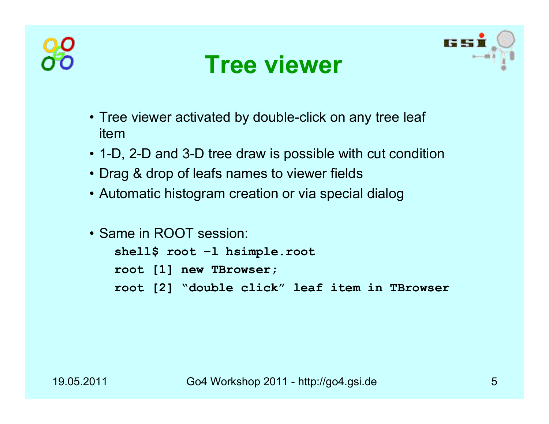





- Tree viewer activated by double-click on any tree leaf item
- 1-D, 2-D and 3-D tree draw is possible with cut condition
- Drag & drop of leafs names to viewer fields
- Automatic histogram creation or via special dialog
- Same in ROOT session:

```
shell$ root –l hsimple.root
root [1] new TBrowser; 
root [2] "double click" leaf item in TBrowser
```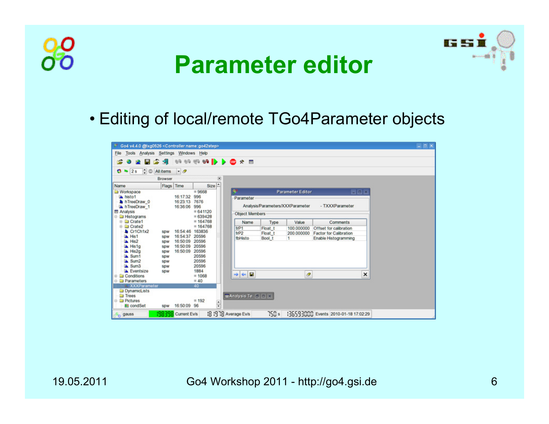



### **Parameter editor**

• Editing of local/remote TGo4Parameter objects

| $\bullet$ 2s $\div$ Alitems            |                          | $\cdot$ $\circ$ |                                         |                            |         |                                  |                               |     |  |
|----------------------------------------|--------------------------|-----------------|-----------------------------------------|----------------------------|---------|----------------------------------|-------------------------------|-----|--|
| ,,,,,,,,,,,,,,,,,,,,,,,,,              | Browser                  |                 | ,,,,,,,,,,,,,,,,,,,,,,,,,,,<br>$\infty$ |                            |         |                                  |                               |     |  |
| <b>Name</b>                            | Flags Time               |                 | Size                                    |                            |         |                                  |                               |     |  |
| Workspace                              |                          |                 | $= 9668$                                |                            |         | <b>Parameter Editor</b>          |                               | 同回因 |  |
| histo1                                 |                          | 16:17:32        | 996                                     | Parameter                  |         |                                  |                               |     |  |
| h TreeDraw 0                           |                          | 16:23:13 7676   | 996                                     |                            |         | Analysis/Parameters/XXXParameter | - TXXXParameter               |     |  |
| h TreeDraw 1<br><b>图 Analysis</b>      |                          | 16:36:06        | $= 641120$                              |                            |         |                                  |                               |     |  |
| <b>B</b> Histograms                    |                          |                 | $= 639428$                              | <b>Object Members</b>      |         |                                  |                               |     |  |
| <b>El Crate1</b>                       |                          |                 | $= 164768$                              | Name                       | Type    | Value                            | Comments                      |     |  |
| <b>E</b> Crate2                        |                          |                 | $= 164768$                              | $1$                        | Float t | 100.000000                       | Offset for calibration        |     |  |
| Cr1Ch1x2                               | <b>SDW</b>               | 16:54:46 163836 |                                         | frP <sub>2</sub>           | Float t | 200,000000                       | <b>Factor for Calibration</b> |     |  |
| A Hist                                 | <b>SDW</b>               | 16:54:37 20596  |                                         | <b>fbHisto</b>             | Bool t  | 1.                               | Enable Histogramming          |     |  |
| LA His2                                | <b>SDW</b>               | 16:50:09        | 20596                                   |                            |         |                                  |                               |     |  |
| A Histo                                | <b>SDW</b>               | 16:50:09        | 20596                                   |                            |         |                                  |                               |     |  |
| LA His2g<br><b>A</b> Sum1              | <b>SDW</b>               | 16:50:09 20596  | 20596                                   |                            |         |                                  |                               |     |  |
| <b>A</b> Sum2                          | <b>SDW</b><br><b>SDW</b> |                 | 20596                                   |                            |         |                                  |                               |     |  |
| La Sum3                                | SDW                      |                 | 20596                                   |                            |         |                                  |                               |     |  |
| Eventsize                              | SDW                      |                 | 1884                                    |                            |         |                                  |                               |     |  |
| <b>Conditions</b>                      |                          |                 | $= 1068$                                | н<br>$\frac{1}{2}$         |         | $\boldsymbol{\sigma}$            |                               | ×   |  |
| <b>D</b> Parameters                    |                          |                 | $= 40$                                  |                            |         |                                  |                               |     |  |
| L XXXParameter                         |                          |                 | 40                                      |                            |         |                                  |                               |     |  |
| DynamicLists                           |                          |                 |                                         |                            |         |                                  |                               |     |  |
| <b>Trees</b>                           |                          |                 |                                         | <b>MAnalysis Te. C C X</b> |         |                                  |                               |     |  |
| <b>B</b> Pictures<br><b>St</b> condSet | SDW                      | 16:50:09 96     | $= 192$<br>$\frac{1}{2}$                |                            |         |                                  |                               |     |  |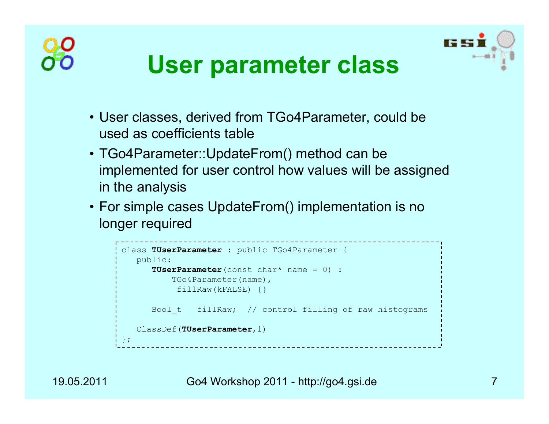



## **User parameter class**

- User classes, derived from TGo4Parameter, could be used as coefficients table
- TGo4Parameter::UpdateFrom() method can be implemented for user control how values will be assigned in the analysis
- For simple cases UpdateFrom() implementation is no longer required

```
class TUserParameter : public TGo4Parameter {
  public:
     TUserParameter(const char* name = 0) : 
         TGo4Parameter(name),
          fillRaw(kFALSE) {}
     Bool_t fillRaw; // control filling of raw histograms
  ClassDef(TUserParameter,1)
};____________________________
```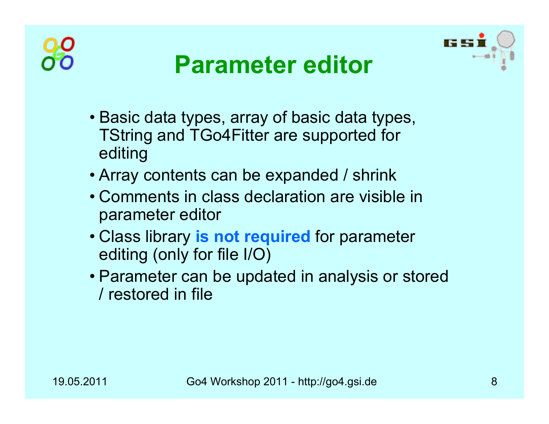



## **Parameter editor**

- Basic data types, array of basic data types, TString and TGo4Fitter are supported for editing
- Array contents can be expanded / shrink
- Comments in class declaration are visible in parameter editor
- Class library **is not required** for parameter editing (only for file I/O)
- Parameter can be updated in analysis or stored / restored in file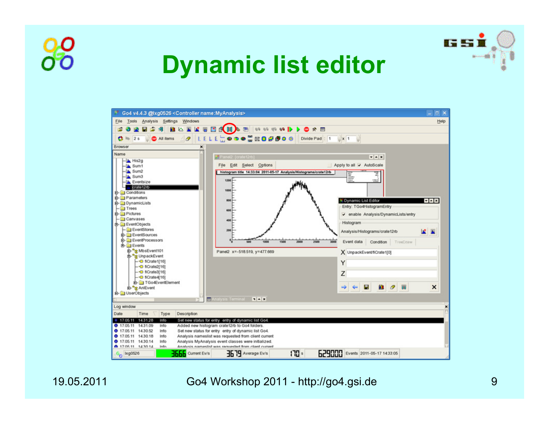

## **Dynamic list editor**



19.05.2011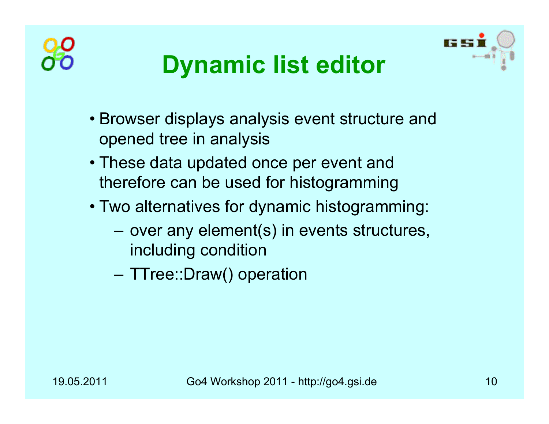



## **Dynamic list editor**

- Browser displays analysis event structure and opened tree in analysis
- These data updated once per event and therefore can be used for histogramming
- Two alternatives for dynamic histogramming:
	- – $-$  over any element(s) in events structures,  $\overline{\phantom{a}}$ including condition
	- **Harry Committee** – TTree::Draw() operation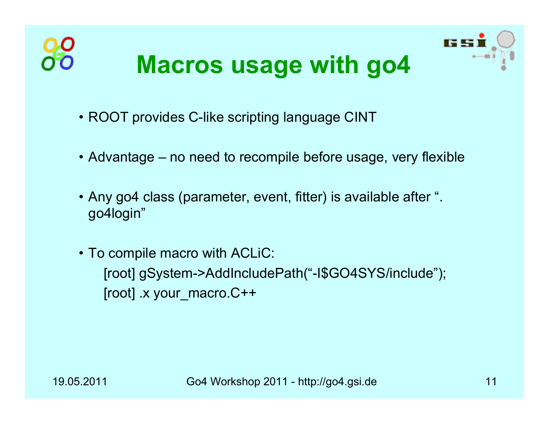

- ROOT provides C-like scripting language CINT
- Advantage no need to recompile before usage, very flexible
- Any go4 class (parameter, event, fitter) is available after ". go4login"
- To compile macro with ACLiC: [root] gSystem->AddIncludePath("-I\$GO4SYS/include"); [root] .x your\_macro.C++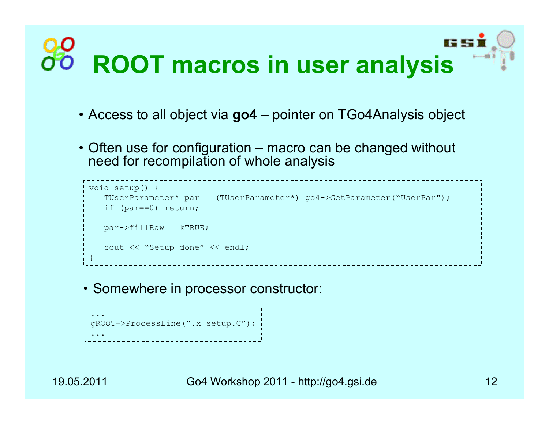# **ROOT macros in user analysis**

- Access to all object via **go4** pointer on TGo4Analysis object
- Often use for configuration macro can be changed without need for recompilation of whole analysis

```
void setup() {
   TUserParameter* par = (TUserParameter*) go4->GetParameter("UserPar");
   if (par==0) return;
   par->fillRaw = kTRUE;
   cout << "Setup done" << endl;
}
```
• Somewhere in processor constructor:

```
...gROOT->ProcessLine(".x setup.C");
...
```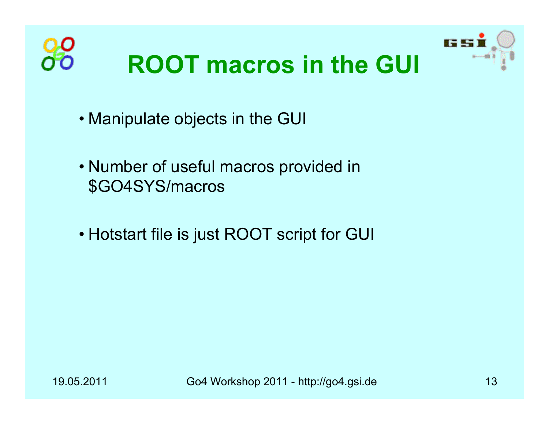

- Manipulate objects in the GUI
- Number of useful macros provided in \$GO4SYS/macros
- Hotstart file is just ROOT script for GUI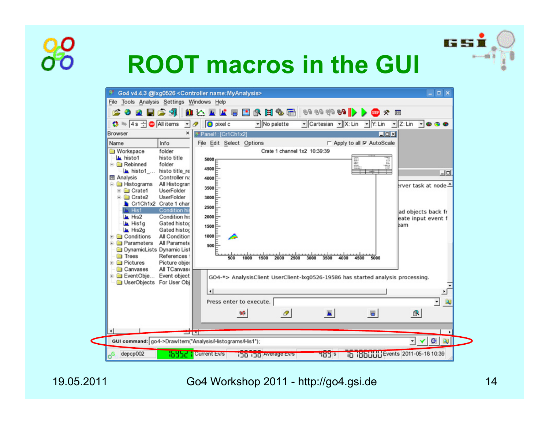## **ROOT macros in the GUI**



19.05.2011

#### Go4 Workshop 2011 - http://go4.gsi.de 14

**IS ST**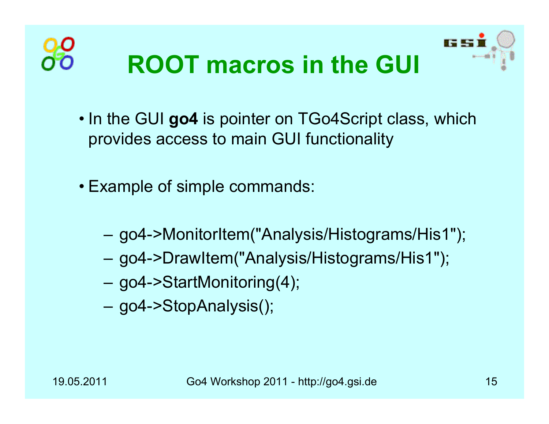



- In the GUI **go4** is pointer on TGo4Script class, which provides access to main GUI functionality
- Example of simple commands:
	- go4->MonitorItem("Analysis/Histograms/His1");
	- go4->DrawItem("Analysis/Histograms/His1");
	- go4->StartMonitoring(4);
	- go4->StopAnalysis();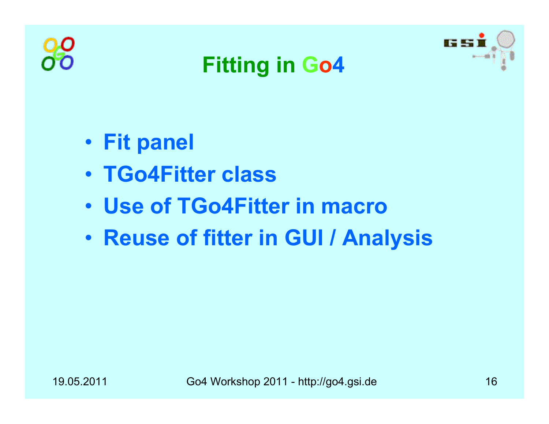





- **Fit panel**
- **TGo4Fitter class**
- **Use of TGo4Fitter in macro**
- $\bullet$ **Reuse of fitter in GUI / Analysis**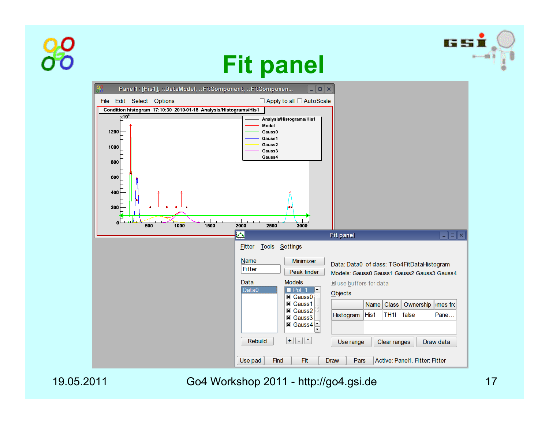







19.05.2011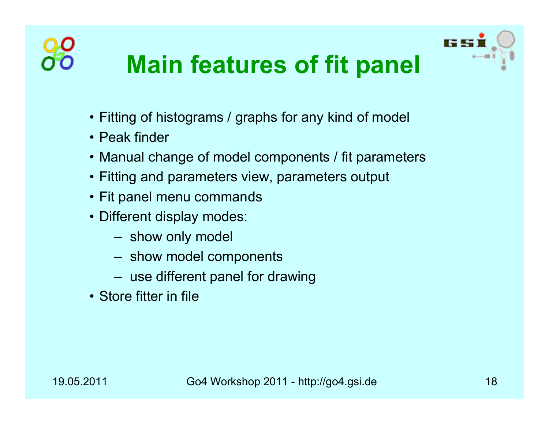

- Fitting of histograms / graphs for any kind of model
- Peak finder
- Manual change of model components / fit parameters
- Fitting and parameters view, parameters output
- Fit panel menu commands
- Different display modes:
	- $-$  show only model
	- show model components
	- $-$  use different panel for drawing
- Store fitter in file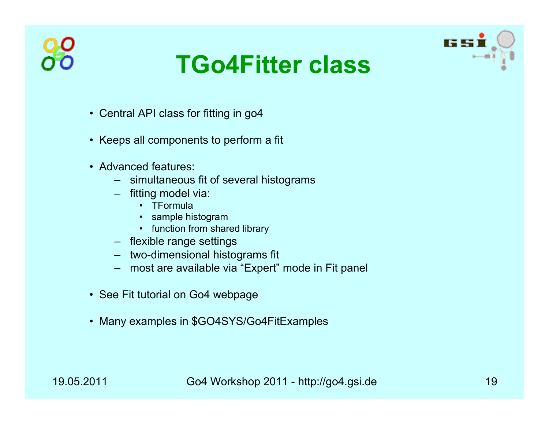





- Central API class for fitting in go4
- Keeps all components to perform a fit
- Advanced features:
	- simultaneous fit of several histograms
	- fitting model via:
		- TFormula
		- sample histogram
		- function from shared library
	- flexible range settings
	- two-dimensional histograms fit
	- most are available via "Expert" mode in Fit panel
- See Fit tutorial on Go4 webpage
- Many examples in \$GO4SYS/Go4FitExamples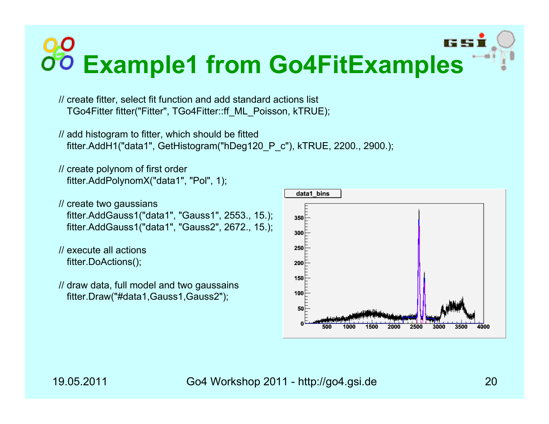# **Example1 from Go4FitExamples**

// create fitter, select fit function and add standard actions list TGo4Fitter fitter("Fitter", TGo4Fitter::ff\_ML\_Poisson, kTRUE);

```
// add histogram to fitter, which should be fitted
 fitter.AddH1("data1", GetHistogram("hDeg120_P_c"), kTRUE, 2200., 2900.);
```

```
// create polynom of first order
  fitter.AddPolynomX("data1", "Pol", 1);
```

```
// create two gaussians
 fitter.AddGauss1("data1", "Gauss1", 2553., 15.);
 fitter.AddGauss1("data1", "Gauss2", 2672., 15.);
```

```
// execute all actionsfitter.DoActions();
```

```
// draw data, full model and two gaussains
 fitter.Draw("#data1,Gauss1,Gauss2");
```
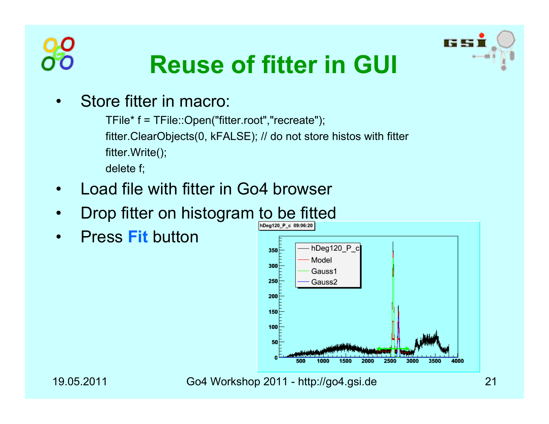



## **Reuse of fitter in GUI**

•Store fitter in macro:

> TFile\* f = TFile::Open("fitter.root","recreate"); fitter.ClearObjects(0, kFALSE); // do not store histos with fitter fitter.Write(); delete f;

- •Load file with fitter in Go4 browser
- •Drop fitter on histogram to be fitted
- •Press **Fit** button